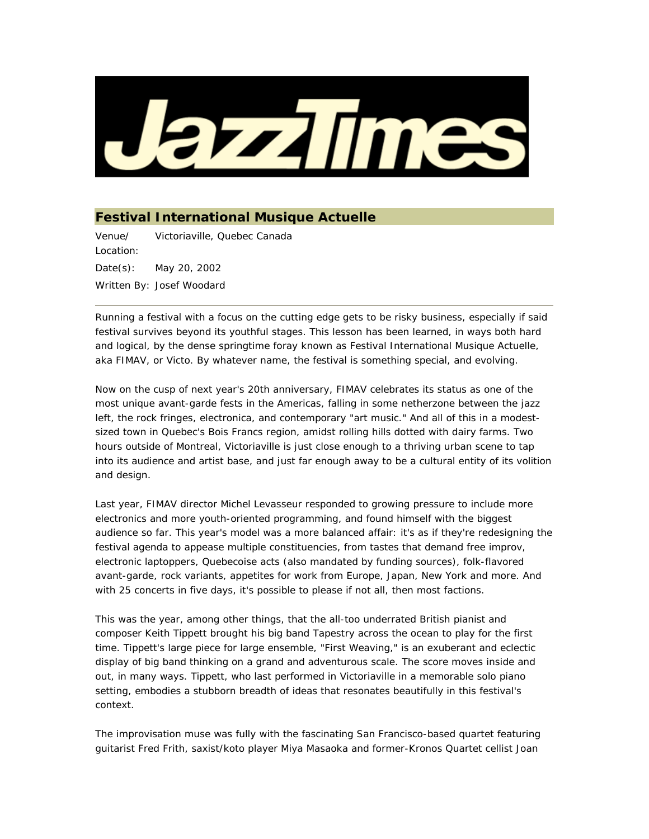

## **Festival International Musique Actuelle**

Venue/ Location: Victoriaville, Quebec Canada Date(s): May 20, 2002 Written By: Josef Woodard

Running a festival with a focus on the cutting edge gets to be risky business, especially if said festival survives beyond its youthful stages. This lesson has been learned, in ways both hard and logical, by the dense springtime foray known as Festival International Musique Actuelle, aka FIMAV, or Victo. By whatever name, the festival is something special, and evolving.

Now on the cusp of next year's 20th anniversary, FIMAV celebrates its status as one of the most unique avant-garde fests in the Americas, falling in some netherzone between the jazz left, the rock fringes, electronica, and contemporary "art music." And all of this in a modestsized town in Quebec's Bois Francs region, amidst rolling hills dotted with dairy farms. Two hours outside of Montreal, Victoriaville is just close enough to a thriving urban scene to tap into its audience and artist base, and just far enough away to be a cultural entity of its volition and design.

Last year, FIMAV director Michel Levasseur responded to growing pressure to include more electronics and more youth-oriented programming, and found himself with the biggest audience so far. This year's model was a more balanced affair: it's as if they're redesigning the festival agenda to appease multiple constituencies, from tastes that demand free improv, electronic laptoppers, Quebecoise acts (also mandated by funding sources), folk-flavored avant-garde, rock variants, appetites for work from Europe, Japan, New York and more. And with 25 concerts in five days, it's possible to please if not all, then most factions.

This was the year, among other things, that the all-too underrated British pianist and composer Keith Tippett brought his big band Tapestry across the ocean to play for the first time. Tippett's large piece for large ensemble, "First Weaving," is an exuberant and eclectic display of big band thinking on a grand and adventurous scale. The score moves inside and out, in many ways. Tippett, who last performed in Victoriaville in a memorable solo piano setting, embodies a stubborn breadth of ideas that resonates beautifully in this festival's context.

The improvisation muse was fully with the fascinating San Francisco-based quartet featuring guitarist Fred Frith, saxist/koto player Miya Masaoka and former-Kronos Quartet cellist Joan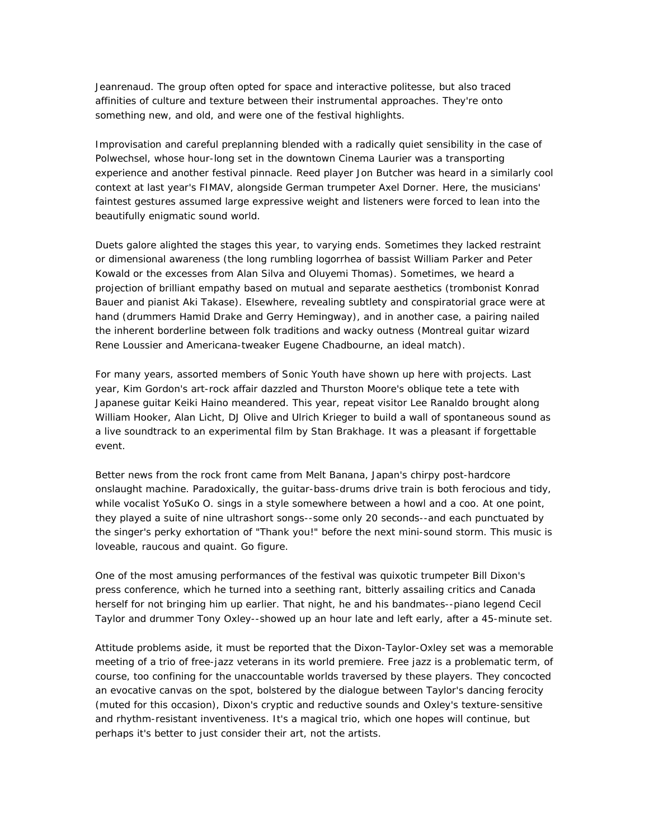Jeanrenaud. The group often opted for space and interactive politesse, but also traced affinities of culture and texture between their instrumental approaches. They're onto something new, and old, and were one of the festival highlights.

Improvisation and careful preplanning blended with a radically quiet sensibility in the case of Polwechsel, whose hour-long set in the downtown Cinema Laurier was a transporting experience and another festival pinnacle. Reed player Jon Butcher was heard in a similarly cool context at last year's FIMAV, alongside German trumpeter Axel Dorner. Here, the musicians' faintest gestures assumed large expressive weight and listeners were forced to lean into the beautifully enigmatic sound world.

Duets galore alighted the stages this year, to varying ends. Sometimes they lacked restraint or dimensional awareness (the long rumbling logorrhea of bassist William Parker and Peter Kowald or the excesses from Alan Silva and Oluyemi Thomas). Sometimes, we heard a projection of brilliant empathy based on mutual and separate aesthetics (trombonist Konrad Bauer and pianist Aki Takase). Elsewhere, revealing subtlety and conspiratorial grace were at hand (drummers Hamid Drake and Gerry Hemingway), and in another case, a pairing nailed the inherent borderline between folk traditions and wacky outness (Montreal guitar wizard Rene Loussier and Americana-tweaker Eugene Chadbourne, an ideal match).

For many years, assorted members of Sonic Youth have shown up here with projects. Last year, Kim Gordon's art-rock affair dazzled and Thurston Moore's oblique tete a tete with Japanese guitar Keiki Haino meandered. This year, repeat visitor Lee Ranaldo brought along William Hooker, Alan Licht, DJ Olive and Ulrich Krieger to build a wall of spontaneous sound as a live soundtrack to an experimental film by Stan Brakhage. It was a pleasant if forgettable event.

Better news from the rock front came from Melt Banana, Japan's chirpy post-hardcore onslaught machine. Paradoxically, the guitar-bass-drums drive train is both ferocious and tidy, while vocalist YoSuKo O. sings in a style somewhere between a howl and a coo. At one point, they played a suite of nine ultrashort songs--some only 20 seconds--and each punctuated by the singer's perky exhortation of "Thank you!" before the next mini-sound storm. This music is loveable, raucous and quaint. Go figure.

One of the most amusing performances of the festival was quixotic trumpeter Bill Dixon's press conference, which he turned into a seething rant, bitterly assailing critics and Canada herself for not bringing him up earlier. That night, he and his bandmates--piano legend Cecil Taylor and drummer Tony Oxley--showed up an hour late and left early, after a 45-minute set.

Attitude problems aside, it must be reported that the Dixon-Taylor-Oxley set was a memorable meeting of a trio of free-jazz veterans in its world premiere. Free jazz is a problematic term, of course, too confining for the unaccountable worlds traversed by these players. They concocted an evocative canvas on the spot, bolstered by the dialogue between Taylor's dancing ferocity (muted for this occasion), Dixon's cryptic and reductive sounds and Oxley's texture-sensitive and rhythm-resistant inventiveness. It's a magical trio, which one hopes will continue, but perhaps it's better to just consider their art, not the artists.